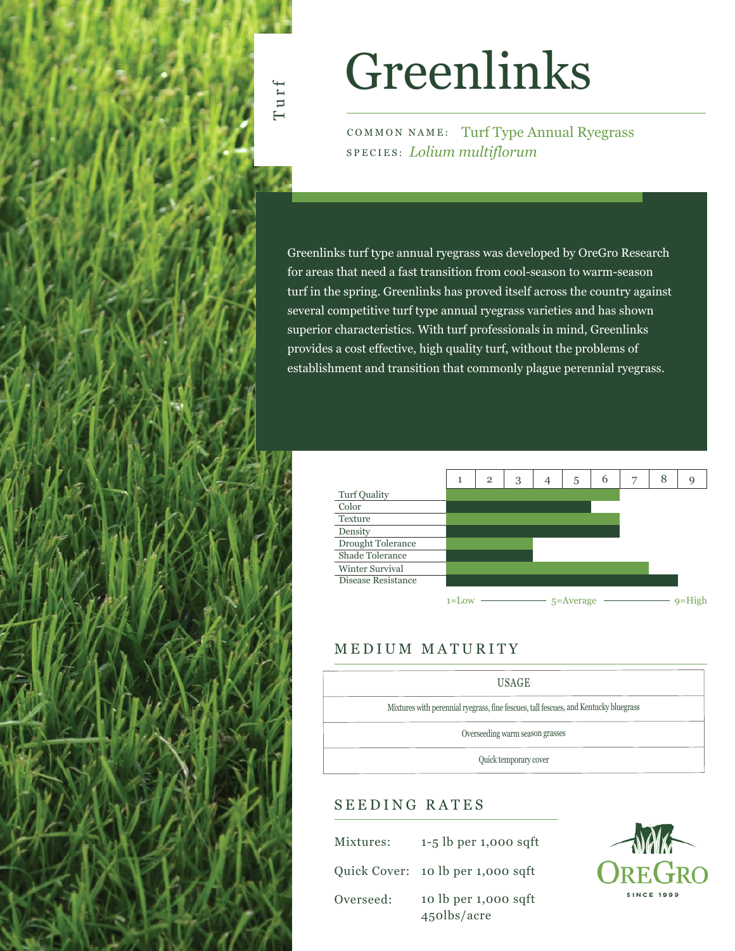# Greenlinks

COMMON NAME: Turf Type Annual Ryegrass SPECIES: *Lolium multiflorum*

Greenlinks turf type annual ryegrass was developed by OreGro Research for areas that need a fast transition from cool-season to warm-season turf in the spring. Greenlinks has proved itself across the country against several competitive turf type annual ryegrass varieties and has shown superior characteristics. With turf professionals in mind, Greenlinks provides a cost effective, high quality turf, without the problems of establishment and transition that commonly plague perennial ryegrass.



### MEDIUM MATURITY



## SEEDING RATES

| Mixtures: | $1-5$ lb per 1,000 sqft             |
|-----------|-------------------------------------|
|           | Quick Cover: 10 lb per 1,000 sqft   |
| Overseed: | 10 lb per 1,000 sqft<br>450lbs/acre |



Turf